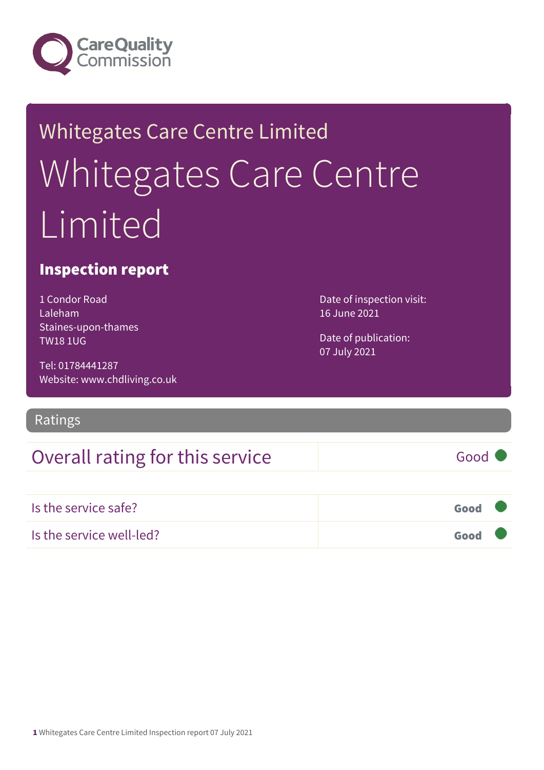

# Whitegates Care Centre Limited Whitegates Care Centre Limited

### Inspection report

1 Condor Road Laleham Staines-upon-thames TW18 1UG

Tel: 01784441287 Website: www.chdliving.co.uk

Ratings

## Overall rating for this service Good

Is the service safe? Good Is the service well-led? Good

Date of inspection visit: 16 June 2021

Date of publication: 07 July 2021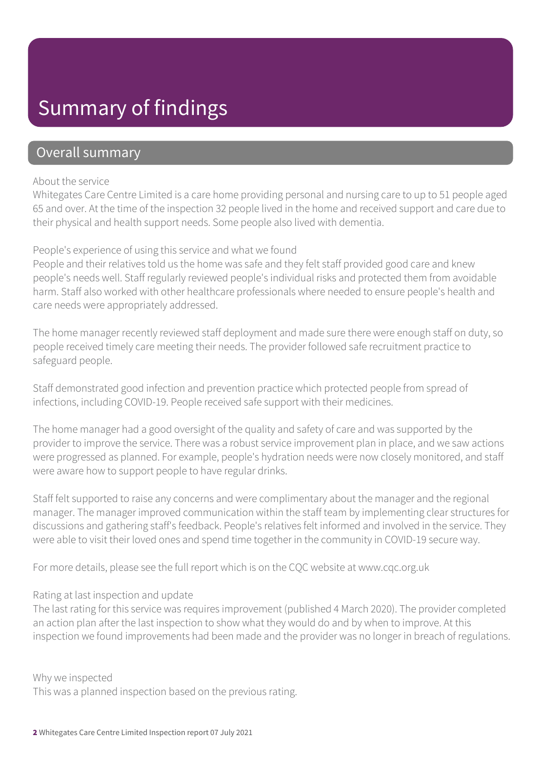## Summary of findings

### Overall summary

#### About the service

Whitegates Care Centre Limited is a care home providing personal and nursing care to up to 51 people aged 65 and over. At the time of the inspection 32 people lived in the home and received support and care due to their physical and health support needs. Some people also lived with dementia.

#### People's experience of using this service and what we found

People and their relatives told us the home was safe and they felt staff provided good care and knew people's needs well. Staff regularly reviewed people's individual risks and protected them from avoidable harm. Staff also worked with other healthcare professionals where needed to ensure people's health and care needs were appropriately addressed.

The home manager recently reviewed staff deployment and made sure there were enough staff on duty, so people received timely care meeting their needs. The provider followed safe recruitment practice to safeguard people.

Staff demonstrated good infection and prevention practice which protected people from spread of infections, including COVID-19. People received safe support with their medicines.

The home manager had a good oversight of the quality and safety of care and was supported by the provider to improve the service. There was a robust service improvement plan in place, and we saw actions were progressed as planned. For example, people's hydration needs were now closely monitored, and staff were aware how to support people to have regular drinks.

Staff felt supported to raise any concerns and were complimentary about the manager and the regional manager. The manager improved communication within the staff team by implementing clear structures for discussions and gathering staff's feedback. People's relatives felt informed and involved in the service. They were able to visit their loved ones and spend time together in the community in COVID-19 secure way.

For more details, please see the full report which is on the CQC website at www.cqc.org.uk

#### Rating at last inspection and update

The last rating for this service was requires improvement (published 4 March 2020). The provider completed an action plan after the last inspection to show what they would do and by when to improve. At this inspection we found improvements had been made and the provider was no longer in breach of regulations.

Why we inspected

This was a planned inspection based on the previous rating.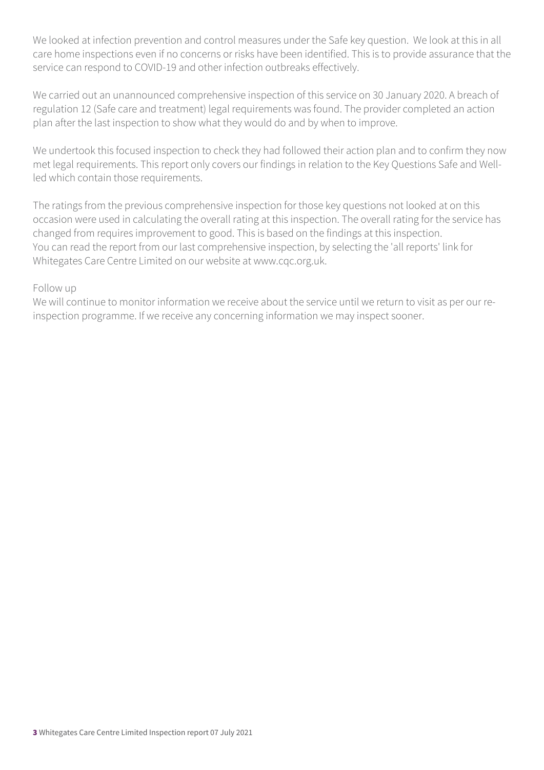We looked at infection prevention and control measures under the Safe key question. We look at this in all care home inspections even if no concerns or risks have been identified. This is to provide assurance that the service can respond to COVID-19 and other infection outbreaks effectively.

We carried out an unannounced comprehensive inspection of this service on 30 January 2020. A breach of regulation 12 (Safe care and treatment) legal requirements was found. The provider completed an action plan after the last inspection to show what they would do and by when to improve.

We undertook this focused inspection to check they had followed their action plan and to confirm they now met legal requirements. This report only covers our findings in relation to the Key Questions Safe and Wellled which contain those requirements.

The ratings from the previous comprehensive inspection for those key questions not looked at on this occasion were used in calculating the overall rating at this inspection. The overall rating for the service has changed from requires improvement to good. This is based on the findings at this inspection. You can read the report from our last comprehensive inspection, by selecting the 'all reports' link for Whitegates Care Centre Limited on our website at www.cqc.org.uk.

#### Follow up

We will continue to monitor information we receive about the service until we return to visit as per our reinspection programme. If we receive any concerning information we may inspect sooner.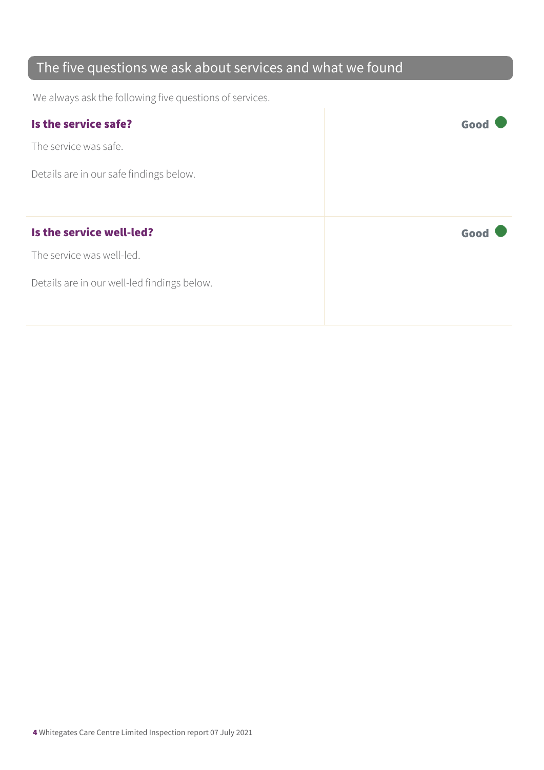## The five questions we ask about services and what we found

We always ask the following five questions of services.

| Is the service safe?                        | Goo  |
|---------------------------------------------|------|
| The service was safe.                       |      |
| Details are in our safe findings below.     |      |
|                                             |      |
| Is the service well-led?                    |      |
|                                             | Good |
| The service was well-led.                   |      |
| Details are in our well-led findings below. |      |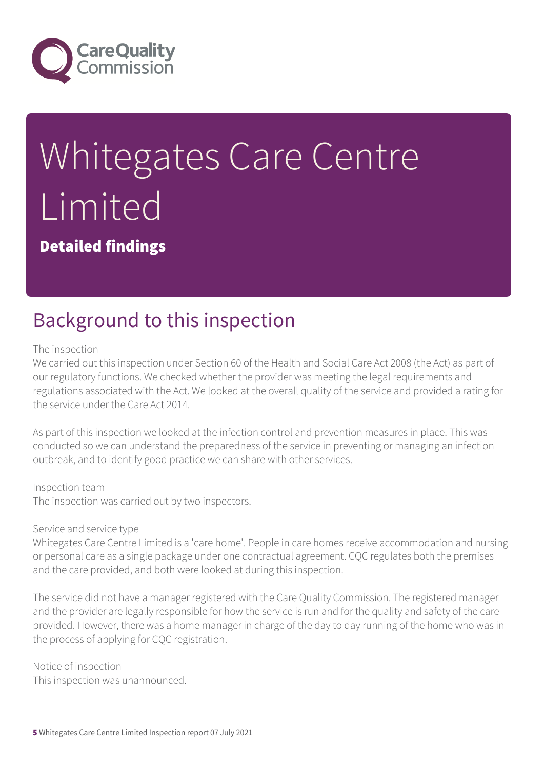

# Whitegates Care Centre **Limited**

Detailed findings

## Background to this inspection

#### The inspection

We carried out this inspection under Section 60 of the Health and Social Care Act 2008 (the Act) as part of our regulatory functions. We checked whether the provider was meeting the legal requirements and regulations associated with the Act. We looked at the overall quality of the service and provided a rating for the service under the Care Act 2014.

As part of this inspection we looked at the infection control and prevention measures in place. This was conducted so we can understand the preparedness of the service in preventing or managing an infection outbreak, and to identify good practice we can share with other services.

#### Inspection team

The inspection was carried out by two inspectors.

#### Service and service type

Whitegates Care Centre Limited is a 'care home'. People in care homes receive accommodation and nursing or personal care as a single package under one contractual agreement. CQC regulates both the premises and the care provided, and both were looked at during this inspection.

The service did not have a manager registered with the Care Quality Commission. The registered manager and the provider are legally responsible for how the service is run and for the quality and safety of the care provided. However, there was a home manager in charge of the day to day running of the home who was in the process of applying for CQC registration.

Notice of inspection This inspection was unannounced.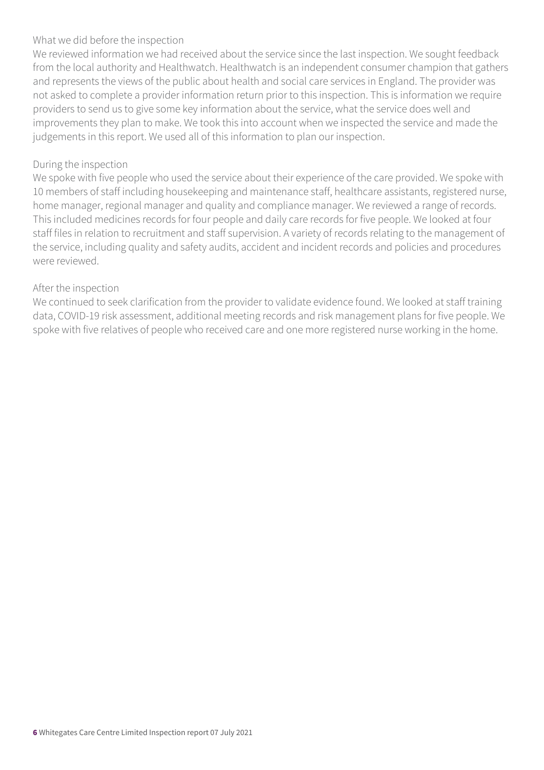#### What we did before the inspection

We reviewed information we had received about the service since the last inspection. We sought feedback from the local authority and Healthwatch. Healthwatch is an independent consumer champion that gathers and represents the views of the public about health and social care services in England. The provider was not asked to complete a provider information return prior to this inspection. This is information we require providers to send us to give some key information about the service, what the service does well and improvements they plan to make. We took this into account when we inspected the service and made the judgements in this report. We used all of this information to plan our inspection.

#### During the inspection

We spoke with five people who used the service about their experience of the care provided. We spoke with 10 members of staff including housekeeping and maintenance staff, healthcare assistants, registered nurse, home manager, regional manager and quality and compliance manager. We reviewed a range of records. This included medicines records for four people and daily care records for five people. We looked at four staff files in relation to recruitment and staff supervision. A variety of records relating to the management of the service, including quality and safety audits, accident and incident records and policies and procedures were reviewed.

#### After the inspection

We continued to seek clarification from the provider to validate evidence found. We looked at staff training data, COVID-19 risk assessment, additional meeting records and risk management plans for five people. We spoke with five relatives of people who received care and one more registered nurse working in the home.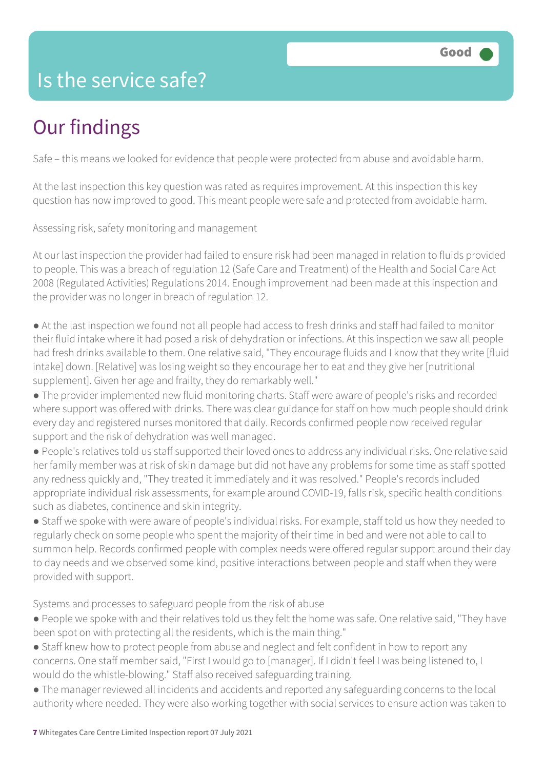## Is the service safe?

# Our findings

Safe – this means we looked for evidence that people were protected from abuse and avoidable harm.

At the last inspection this key question was rated as requires improvement. At this inspection this key question has now improved to good. This meant people were safe and protected from avoidable harm.

Assessing risk, safety monitoring and management

At our last inspection the provider had failed to ensure risk had been managed in relation to fluids provided to people. This was a breach of regulation 12 (Safe Care and Treatment) of the Health and Social Care Act 2008 (Regulated Activities) Regulations 2014. Enough improvement had been made at this inspection and the provider was no longer in breach of regulation 12.

- At the last inspection we found not all people had access to fresh drinks and staff had failed to monitor their fluid intake where it had posed a risk of dehydration or infections. At this inspection we saw all people had fresh drinks available to them. One relative said, "They encourage fluids and I know that they write [fluid intake] down. [Relative] was losing weight so they encourage her to eat and they give her [nutritional supplement]. Given her age and frailty, they do remarkably well."
- The provider implemented new fluid monitoring charts. Staff were aware of people's risks and recorded where support was offered with drinks. There was clear guidance for staff on how much people should drink every day and registered nurses monitored that daily. Records confirmed people now received regular support and the risk of dehydration was well managed.
- People's relatives told us staff supported their loved ones to address any individual risks. One relative said her family member was at risk of skin damage but did not have any problems for some time as staff spotted any redness quickly and, "They treated it immediately and it was resolved." People's records included appropriate individual risk assessments, for example around COVID-19, falls risk, specific health conditions such as diabetes, continence and skin integrity.
- Staff we spoke with were aware of people's individual risks. For example, staff told us how they needed to regularly check on some people who spent the majority of their time in bed and were not able to call to summon help. Records confirmed people with complex needs were offered regular support around their day to day needs and we observed some kind, positive interactions between people and staff when they were provided with support.

Systems and processes to safeguard people from the risk of abuse

- People we spoke with and their relatives told us they felt the home was safe. One relative said, "They have been spot on with protecting all the residents, which is the main thing."
- Staff knew how to protect people from abuse and neglect and felt confident in how to report any concerns. One staff member said, "First I would go to [manager]. If I didn't feel I was being listened to, I would do the whistle-blowing." Staff also received safeguarding training.
- The manager reviewed all incidents and accidents and reported any safeguarding concerns to the local authority where needed. They were also working together with social services to ensure action was taken to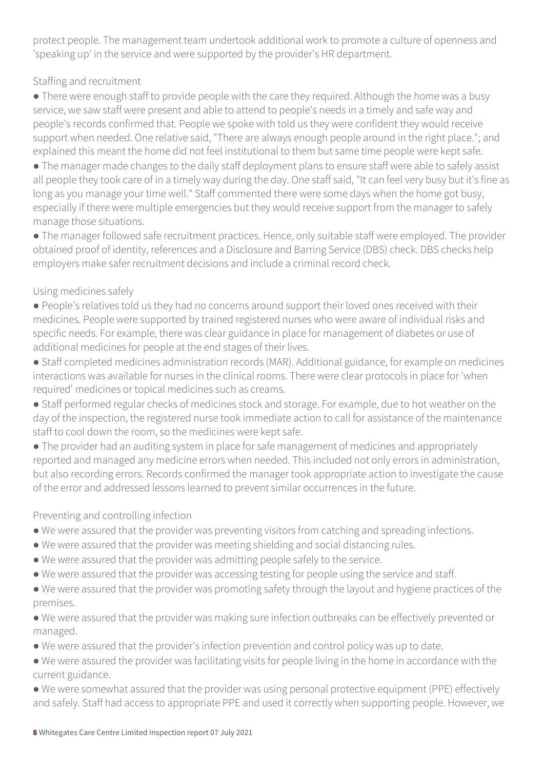protect people. The management team undertook additional work to promote a culture of openness and 'speaking up' in the service and were supported by the provider's HR department.

#### Staffing and recruitment

• There were enough staff to provide people with the care they required. Although the home was a busy service, we saw staff were present and able to attend to people's needs in a timely and safe way and people's records confirmed that. People we spoke with told us they were confident they would receive support when needed. One relative said, "There are always enough people around in the right place."; and explained this meant the home did not feel institutional to them but same time people were kept safe.

● The manager made changes to the daily staff deployment plans to ensure staff were able to safely assist all people they took care of in a timely way during the day. One staff said, "It can feel very busy but it's fine as long as you manage your time well." Staff commented there were some days when the home got busy, especially if there were multiple emergencies but they would receive support from the manager to safely manage those situations.

● The manager followed safe recruitment practices. Hence, only suitable staff were employed. The provider obtained proof of identity, references and a Disclosure and Barring Service (DBS) check. DBS checks help employers make safer recruitment decisions and include a criminal record check.

#### Using medicines safely

● People's relatives told us they had no concerns around support their loved ones received with their medicines. People were supported by trained registered nurses who were aware of individual risks and specific needs. For example, there was clear guidance in place for management of diabetes or use of additional medicines for people at the end stages of their lives.

● Staff completed medicines administration records (MAR). Additional guidance, for example on medicines interactions was available for nurses in the clinical rooms. There were clear protocols in place for 'when required' medicines or topical medicines such as creams.

● Staff performed regular checks of medicines stock and storage. For example, due to hot weather on the day of the inspection, the registered nurse took immediate action to call for assistance of the maintenance staff to cool down the room, so the medicines were kept safe.

● The provider had an auditing system in place for safe management of medicines and appropriately reported and managed any medicine errors when needed. This included not only errors in administration, but also recording errors. Records confirmed the manager took appropriate action to investigate the cause of the error and addressed lessons learned to prevent similar occurrences in the future.

#### Preventing and controlling infection

- We were assured that the provider was preventing visitors from catching and spreading infections.
- We were assured that the provider was meeting shielding and social distancing rules.
- We were assured that the provider was admitting people safely to the service.
- We were assured that the provider was accessing testing for people using the service and staff.
- We were assured that the provider was promoting safety through the layout and hygiene practices of the premises.

● We were assured that the provider was making sure infection outbreaks can be effectively prevented or managed.

- We were assured that the provider's infection prevention and control policy was up to date.
- We were assured the provider was facilitating visits for people living in the home in accordance with the current guidance.
- We were somewhat assured that the provider was using personal protective equipment (PPE) effectively and safely. Staff had access to appropriate PPE and used it correctly when supporting people. However, we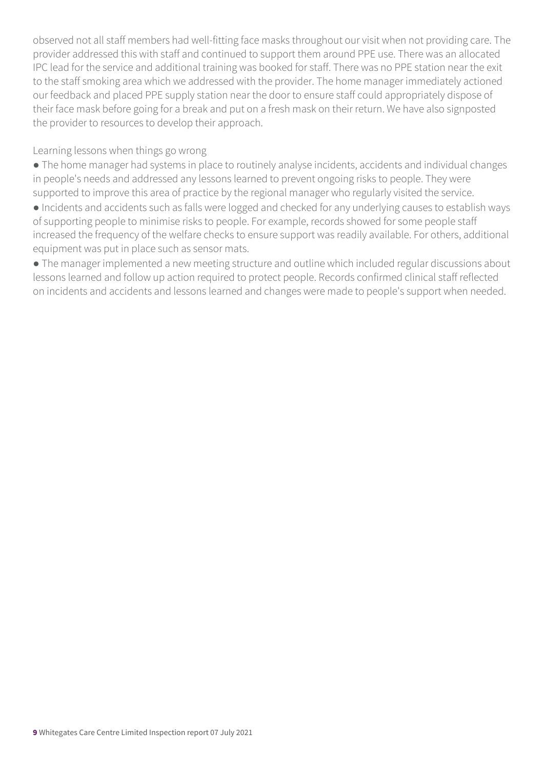observed not all staff members had well-fitting face masks throughout our visit when not providing care. The provider addressed this with staff and continued to support them around PPE use. There was an allocated IPC lead for the service and additional training was booked for staff. There was no PPE station near the exit to the staff smoking area which we addressed with the provider. The home manager immediately actioned our feedback and placed PPE supply station near the door to ensure staff could appropriately dispose of their face mask before going for a break and put on a fresh mask on their return. We have also signposted the provider to resources to develop their approach.

Learning lessons when things go wrong

● The home manager had systems in place to routinely analyse incidents, accidents and individual changes in people's needs and addressed any lessons learned to prevent ongoing risks to people. They were supported to improve this area of practice by the regional manager who regularly visited the service.

● Incidents and accidents such as falls were logged and checked for any underlying causes to establish ways of supporting people to minimise risks to people. For example, records showed for some people staff increased the frequency of the welfare checks to ensure support was readily available. For others, additional equipment was put in place such as sensor mats.

● The manager implemented a new meeting structure and outline which included regular discussions about lessons learned and follow up action required to protect people. Records confirmed clinical staff reflected on incidents and accidents and lessons learned and changes were made to people's support when needed.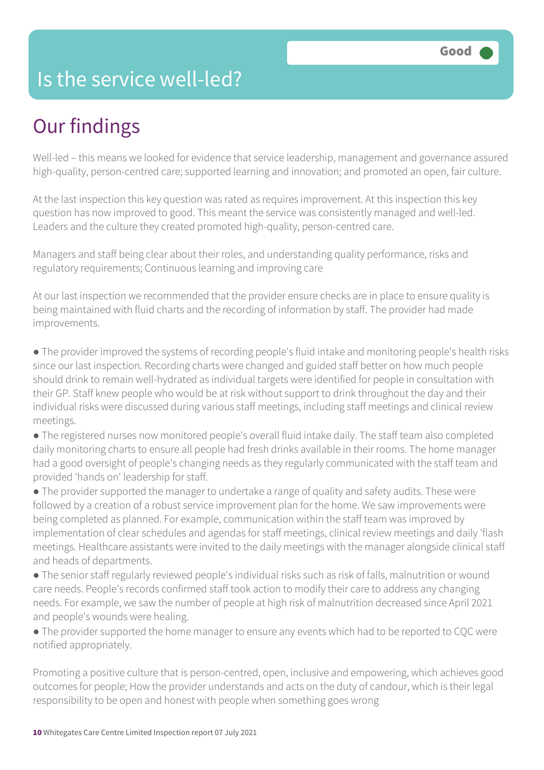## Is the service well-led?

# Our findings

Well-led – this means we looked for evidence that service leadership, management and governance assured high-quality, person-centred care; supported learning and innovation; and promoted an open, fair culture.

At the last inspection this key question was rated as requires improvement. At this inspection this key question has now improved to good. This meant the service was consistently managed and well-led. Leaders and the culture they created promoted high-quality, person-centred care.

Managers and staff being clear about their roles, and understanding quality performance, risks and regulatory requirements; Continuous learning and improving care

At our last inspection we recommended that the provider ensure checks are in place to ensure quality is being maintained with fluid charts and the recording of information by staff. The provider had made improvements.

● The provider improved the systems of recording people's fluid intake and monitoring people's health risks since our last inspection. Recording charts were changed and guided staff better on how much people should drink to remain well-hydrated as individual targets were identified for people in consultation with their GP. Staff knew people who would be at risk without support to drink throughout the day and their individual risks were discussed during various staff meetings, including staff meetings and clinical review meetings.

● The registered nurses now monitored people's overall fluid intake daily. The staff team also completed daily monitoring charts to ensure all people had fresh drinks available in their rooms. The home manager had a good oversight of people's changing needs as they regularly communicated with the staff team and provided 'hands on' leadership for staff.

● The provider supported the manager to undertake a range of quality and safety audits. These were followed by a creation of a robust service improvement plan for the home. We saw improvements were being completed as planned. For example, communication within the staff team was improved by implementation of clear schedules and agendas for staff meetings, clinical review meetings and daily 'flash meetings. Healthcare assistants were invited to the daily meetings with the manager alongside clinical staff and heads of departments.

● The senior staff regularly reviewed people's individual risks such as risk of falls, malnutrition or wound care needs. People's records confirmed staff took action to modify their care to address any changing needs. For example, we saw the number of people at high risk of malnutrition decreased since April 2021 and people's wounds were healing.

• The provider supported the home manager to ensure any events which had to be reported to CQC were notified appropriately.

Promoting a positive culture that is person-centred, open, inclusive and empowering, which achieves good outcomes for people; How the provider understands and acts on the duty of candour, which is their legal responsibility to be open and honest with people when something goes wrong